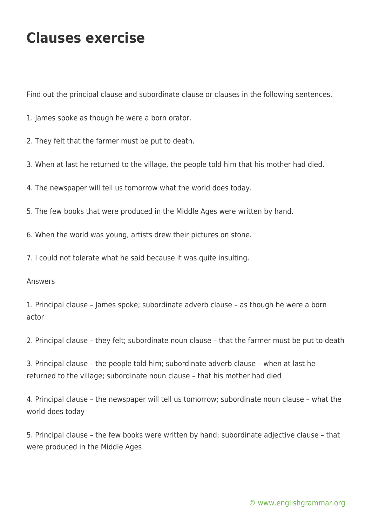## **Clauses exercise**

Find out the principal clause and subordinate clause or clauses in the following sentences.

- 1. James spoke as though he were a born orator.
- 2. They felt that the farmer must be put to death.
- 3. When at last he returned to the village, the people told him that his mother had died.
- 4. The newspaper will tell us tomorrow what the world does today.
- 5. The few books that were produced in the Middle Ages were written by hand.
- 6. When the world was young, artists drew their pictures on stone.
- 7. I could not tolerate what he said because it was quite insulting.

## Answers

1. Principal clause – James spoke; subordinate adverb clause – as though he were a born actor

2. Principal clause – they felt; subordinate noun clause – that the farmer must be put to death

3. Principal clause – the people told him; subordinate adverb clause – when at last he returned to the village; subordinate noun clause – that his mother had died

4. Principal clause – the newspaper will tell us tomorrow; subordinate noun clause – what the world does today

5. Principal clause – the few books were written by hand; subordinate adjective clause – that were produced in the Middle Ages